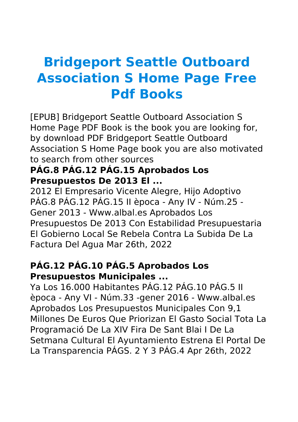# **Bridgeport Seattle Outboard Association S Home Page Free Pdf Books**

[EPUB] Bridgeport Seattle Outboard Association S Home Page PDF Book is the book you are looking for, by download PDF Bridgeport Seattle Outboard Association S Home Page book you are also motivated to search from other sources

#### **PÁG.8 PÁG.12 PÁG.15 Aprobados Los Presupuestos De 2013 El ...**

2012 El Empresario Vicente Alegre, Hijo Adoptivo PÁG.8 PÁG.12 PÁG.15 II època - Any IV - Núm.25 - Gener 2013 - Www.albal.es Aprobados Los Presupuestos De 2013 Con Estabilidad Presupuestaria El Gobierno Local Se Rebela Contra La Subida De La Factura Del Agua Mar 26th, 2022

## **PÁG.12 PÁG.10 PÁG.5 Aprobados Los Presupuestos Municipales ...**

Ya Los 16.000 Habitantes PÁG.12 PÁG.10 PÁG.5 II època - Any VI - Núm.33 -gener 2016 - Www.albal.es Aprobados Los Presupuestos Municipales Con 9,1 Millones De Euros Que Priorizan El Gasto Social Tota La Programació De La XIV Fira De Sant Blai I De La Setmana Cultural El Ayuntamiento Estrena El Portal De La Transparencia PÁGS. 2 Y 3 PÁG.4 Apr 26th, 2022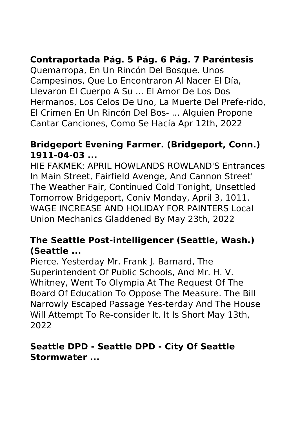# **Contraportada Pág. 5 Pág. 6 Pág. 7 Paréntesis**

Quemarropa, En Un Rincón Del Bosque. Unos Campesinos, Que Lo Encontraron Al Nacer El Día, Llevaron El Cuerpo A Su ... El Amor De Los Dos Hermanos, Los Celos De Uno, La Muerte Del Prefe-rido, El Crimen En Un Rincón Del Bos- ... Alguien Propone Cantar Canciones, Como Se Hacía Apr 12th, 2022

#### **Bridgeport Evening Farmer. (Bridgeport, Conn.) 1911-04-03 ...**

HIE FAKMEK: APRIL HOWLANDS ROWLAND'S Entrances In Main Street, Fairfield Avenge, And Cannon Street' The Weather Fair, Continued Cold Tonight, Unsettled Tomorrow Bridgeport, Coniv Monday, April 3, 1011. WAGE INCREASE AND HOLIDAY FOR PAINTERS Local Union Mechanics Gladdened By May 23th, 2022

## **The Seattle Post-intelligencer (Seattle, Wash.) (Seattle ...**

Pierce. Yesterday Mr. Frank J. Barnard, The Superintendent Of Public Schools, And Mr. H. V. Whitney, Went To Olympia At The Request Of The Board Of Education To Oppose The Measure. The Bill Narrowly Escaped Passage Yes-terday And The House Will Attempt To Re-consider It. It Is Short May 13th, 2022

#### **Seattle DPD - Seattle DPD - City Of Seattle Stormwater ...**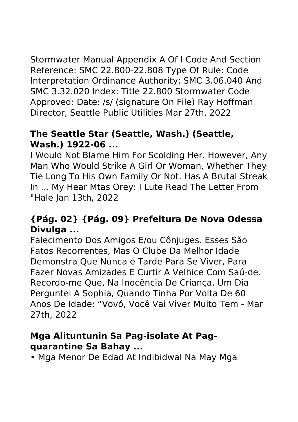Stormwater Manual Appendix A Of I Code And Section Reference: SMC 22.800-22.808 Type Of Rule: Code Interpretation Ordinance Authority: SMC 3.06.040 And SMC 3.32.020 Index: Title 22.800 Stormwater Code Approved: Date: /s/ (signature On File) Ray Hoffman Director, Seattle Public Utilities Mar 27th, 2022

## **The Seattle Star (Seattle, Wash.) (Seattle, Wash.) 1922-06 ...**

I Would Not Blame Him For Scolding Her. However, Any Man Who Would Strike A Girl Or Woman, Whether They Tie Long To His Own Family Or Not. Has A Brutal Streak In ... My Hear Mtas Orey: I Lute Read The Letter From "Hale Jan 13th, 2022

## **{Pág. 02} {Pág. 09} Prefeitura De Nova Odessa Divulga ...**

Falecimento Dos Amigos E/ou Cônjuges. Esses São Fatos Recorrentes, Mas O Clube Da Melhor Idade Demonstra Que Nunca é Tarde Para Se Viver, Para Fazer Novas Amizades E Curtir A Velhice Com Saú-de. Recordo-me Que, Na Inocência De Criança, Um Dia Perguntei A Sophia, Quando Tinha Por Volta De 60 Anos De Idade: "Vovó, Você Vai Viver Muito Tem - Mar 27th, 2022

#### **Mga Alituntunin Sa Pag-isolate At Pagquarantine Sa Bahay ...**

• Mga Menor De Edad At Indibidwal Na May Mga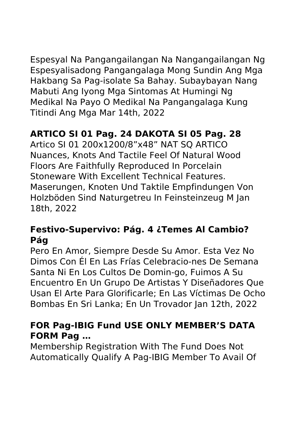Espesyal Na Pangangailangan Na Nangangailangan Ng Espesyalisadong Pangangalaga Mong Sundin Ang Mga Hakbang Sa Pag-isolate Sa Bahay. Subaybayan Nang Mabuti Ang Iyong Mga Sintomas At Humingi Ng Medikal Na Payo O Medikal Na Pangangalaga Kung Titindi Ang Mga Mar 14th, 2022

# **ARTICO SI 01 Pag. 24 DAKOTA SI 05 Pag. 28**

Artico SI 01 200x1200/8"x48" NAT SQ ARTICO Nuances, Knots And Tactile Feel Of Natural Wood Floors Are Faithfully Reproduced In Porcelain Stoneware With Excellent Technical Features. Maserungen, Knoten Und Taktile Empfindungen Von Holzböden Sind Naturgetreu In Feinsteinzeug M Jan 18th, 2022

## **Festivo-Supervivo: Pág. 4 ¿Temes Al Cambio? Pág**

Pero En Amor, Siempre Desde Su Amor. Esta Vez No Dimos Con Él En Las Frías Celebracio-nes De Semana Santa Ni En Los Cultos De Domin-go, Fuimos A Su Encuentro En Un Grupo De Artistas Y Diseñadores Que Usan El Arte Para Glorificarle; En Las Víctimas De Ocho Bombas En Sri Lanka; En Un Trovador Jan 12th, 2022

## **FOR Pag-IBIG Fund USE ONLY MEMBER'S DATA FORM Pag …**

Membership Registration With The Fund Does Not Automatically Qualify A Pag-IBIG Member To Avail Of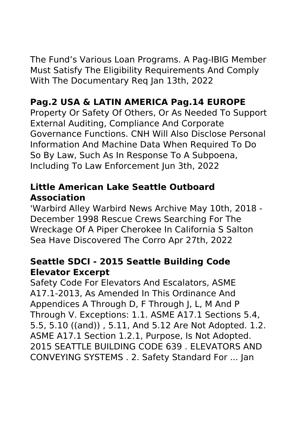The Fund's Various Loan Programs. A Pag-IBIG Member Must Satisfy The Eligibility Requirements And Comply With The Documentary Req Jan 13th, 2022

# **Pag.2 USA & LATIN AMERICA Pag.14 EUROPE**

Property Or Safety Of Others, Or As Needed To Support External Auditing, Compliance And Corporate Governance Functions. CNH Will Also Disclose Personal Information And Machine Data When Required To Do So By Law, Such As In Response To A Subpoena, Including To Law Enforcement Jun 3th, 2022

# **Little American Lake Seattle Outboard Association**

'Warbird Alley Warbird News Archive May 10th, 2018 - December 1998 Rescue Crews Searching For The Wreckage Of A Piper Cherokee In California S Salton Sea Have Discovered The Corro Apr 27th, 2022

## **Seattle SDCI - 2015 Seattle Building Code Elevator Excerpt**

Safety Code For Elevators And Escalators, ASME A17.1-2013, As Amended In This Ordinance And Appendices A Through D, F Through J, L, M And P Through V. Exceptions: 1.1. ASME A17.1 Sections 5.4, 5.5, 5.10 ((and)) , 5.11, And 5.12 Are Not Adopted. 1.2. ASME A17.1 Section 1.2.1, Purpose, Is Not Adopted. 2015 SEATTLE BUILDING CODE 639 . ELEVATORS AND CONVEYING SYSTEMS . 2. Safety Standard For ... Jan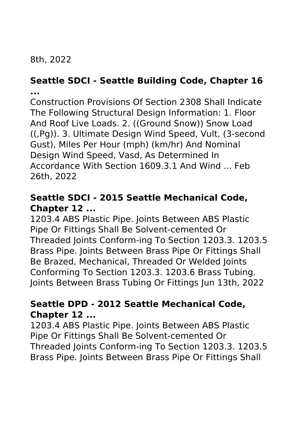# 8th, 2022

## **Seattle SDCI - Seattle Building Code, Chapter 16 ...**

Construction Provisions Of Section 2308 Shall Indicate The Following Structural Design Information: 1. Floor And Roof Live Loads. 2. ((Ground Snow)) Snow Load ((,Pg)). 3. Ultimate Design Wind Speed, Vult, (3-second Gust), Miles Per Hour (mph) (km/hr) And Nominal Design Wind Speed, Vasd, As Determined In Accordance With Section 1609.3.1 And Wind ... Feb 26th, 2022

## **Seattle SDCI - 2015 Seattle Mechanical Code, Chapter 12 ...**

1203.4 ABS Plastic Pipe. Joints Between ABS Plastic Pipe Or Fittings Shall Be Solvent-cemented Or Threaded Joints Conform-ing To Section 1203.3. 1203.5 Brass Pipe. Joints Between Brass Pipe Or Fittings Shall Be Brazed, Mechanical, Threaded Or Welded Joints Conforming To Section 1203.3. 1203.6 Brass Tubing. Joints Between Brass Tubing Or Fittings Jun 13th, 2022

## **Seattle DPD - 2012 Seattle Mechanical Code, Chapter 12 ...**

1203.4 ABS Plastic Pipe. Joints Between ABS Plastic Pipe Or Fittings Shall Be Solvent-cemented Or Threaded Joints Conform-ing To Section 1203.3. 1203.5 Brass Pipe. Joints Between Brass Pipe Or Fittings Shall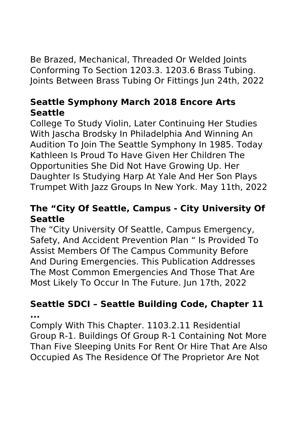Be Brazed, Mechanical, Threaded Or Welded Joints Conforming To Section 1203.3. 1203.6 Brass Tubing. Joints Between Brass Tubing Or Fittings Jun 24th, 2022

# **Seattle Symphony March 2018 Encore Arts Seattle**

College To Study Violin, Later Continuing Her Studies With Jascha Brodsky In Philadelphia And Winning An Audition To Join The Seattle Symphony In 1985. Today Kathleen Is Proud To Have Given Her Children The Opportunities She Did Not Have Growing Up. Her Daughter Is Studying Harp At Yale And Her Son Plays Trumpet With Jazz Groups In New York. May 11th, 2022

## **The "City Of Seattle, Campus - City University Of Seattle**

The "City University Of Seattle, Campus Emergency, Safety, And Accident Prevention Plan " Is Provided To Assist Members Of The Campus Community Before And During Emergencies. This Publication Addresses The Most Common Emergencies And Those That Are Most Likely To Occur In The Future. Jun 17th, 2022

#### **Seattle SDCI – Seattle Building Code, Chapter 11 ...**

Comply With This Chapter. 1103.2.11 Residential Group R-1. Buildings Of Group R-1 Containing Not More Than Five Sleeping Units For Rent Or Hire That Are Also Occupied As The Residence Of The Proprietor Are Not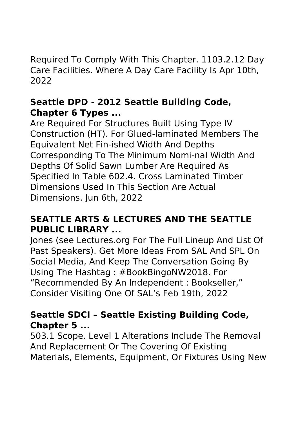Required To Comply With This Chapter. 1103.2.12 Day Care Facilities. Where A Day Care Facility Is Apr 10th, 2022

## **Seattle DPD - 2012 Seattle Building Code, Chapter 6 Types ...**

Are Required For Structures Built Using Type IV Construction (HT). For Glued-laminated Members The Equivalent Net Fin-ished Width And Depths Corresponding To The Minimum Nomi-nal Width And Depths Of Solid Sawn Lumber Are Required As Specified In Table 602.4. Cross Laminated Timber Dimensions Used In This Section Are Actual Dimensions. Jun 6th, 2022

## **SEATTLE ARTS & LECTURES AND THE SEATTLE PUBLIC LIBRARY ...**

Jones (see Lectures.org For The Full Lineup And List Of Past Speakers). Get More Ideas From SAL And SPL On Social Media, And Keep The Conversation Going By Using The Hashtag : #BookBingoNW2018. For "Recommended By An Independent : Bookseller," Consider Visiting One Of SAL's Feb 19th, 2022

## **Seattle SDCI – Seattle Existing Building Code, Chapter 5 ...**

503.1 Scope. Level 1 Alterations Include The Removal And Replacement Or The Covering Of Existing Materials, Elements, Equipment, Or Fixtures Using New